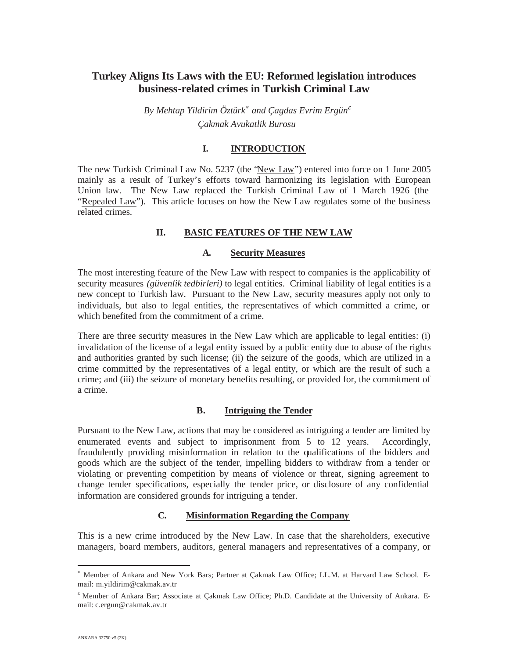# **Turkey Aligns Its Laws with the EU: Reformed legislation introduces business-related crimes in Turkish Criminal Law**

*By Mehtap Yildirim Öztürk*<sup>∗</sup> *and Çagdas Evrim Ergün*<sup>ε</sup> *Çakmak Avukatlik Burosu*

## **I. INTRODUCTION**

The new Turkish Criminal Law No. 5237 (the "New Law") entered into force on 1 June 2005 mainly as a result of Turkey's efforts toward harmonizing its legislation with European Union law. The New Law replaced the Turkish Criminal Law of 1 March 1926 (the "Repealed Law"). This article focuses on how the New Law regulates some of the business related crimes.

# **II. BASIC FEATURES OF THE NEW LAW**

### **A. Security Measures**

The most interesting feature of the New Law with respect to companies is the applicability of security measures *(güvenlik tedbirleri)* to legal entities. Criminal liability of legal entities is a new concept to Turkish law. Pursuant to the New Law, security measures apply not only to individuals, but also to legal entities, the representatives of which committed a crime, or which benefited from the commitment of a crime.

There are three security measures in the New Law which are applicable to legal entities: (i) invalidation of the license of a legal entity issued by a public entity due to abuse of the rights and authorities granted by such license; (ii) the seizure of the goods, which are utilized in a crime committed by the representatives of a legal entity, or which are the result of such a crime; and (iii) the seizure of monetary benefits resulting, or provided for, the commitment of a crime.

#### **B. Intriguing the Tender**

Pursuant to the New Law, actions that may be considered as intriguing a tender are limited by enumerated events and subject to imprisonment from 5 to 12 years. Accordingly, fraudulently providing misinformation in relation to the qualifications of the bidders and goods which are the subject of the tender, impelling bidders to withdraw from a tender or violating or preventing competition by means of violence or threat, signing agreement to change tender specifications, especially the tender price, or disclosure of any confidential information are considered grounds for intriguing a tender.

## **C. Misinformation Regarding the Company**

This is a new crime introduced by the New Law. In case that the shareholders, executive managers, board members, auditors, general managers and representatives of a company, or

 Member of Ankara and New York Bars; Partner at Çakmak Law Office; LL.M. at Harvard Law School. Email: m.yildirim@cakmak.av.tr

<sup>&</sup>lt;sup>&</sup> Member of Ankara Bar; Associate at Çakmak Law Office; Ph.D. Candidate at the University of Ankara. Email: c.ergun@cakmak.av.tr